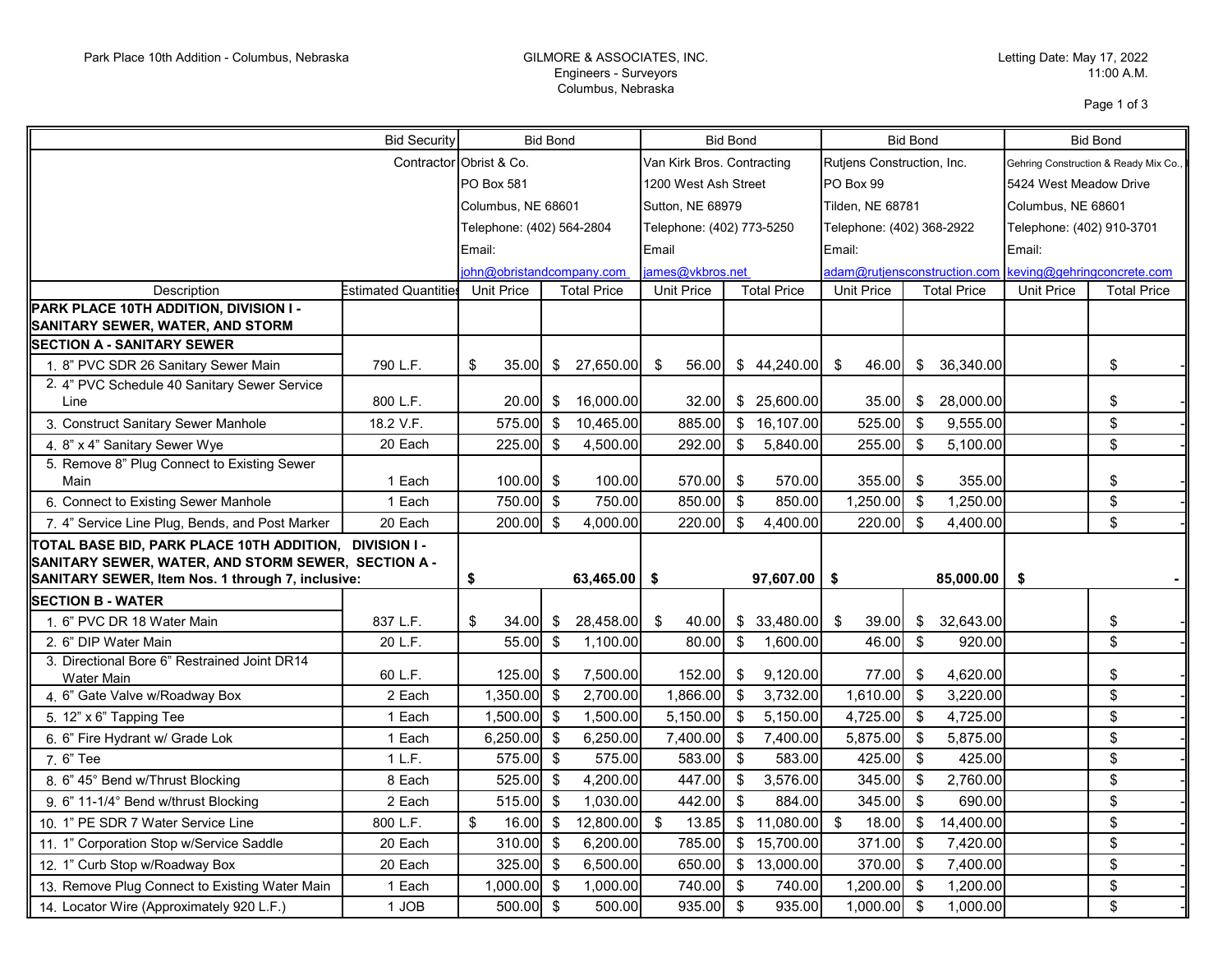## Engineers - Surveyors Columbus, Nebraska

Page 1 of 3

|                                                                                                               | <b>Bid Security</b><br><b>Bid Bond</b> |                                         | <b>Bid Bond</b> |                                         | <b>Bid Bond</b>           |                                  |                            | <b>Bid Bond</b>           |                            |                                       |                           |                         |  |
|---------------------------------------------------------------------------------------------------------------|----------------------------------------|-----------------------------------------|-----------------|-----------------------------------------|---------------------------|----------------------------------|----------------------------|---------------------------|----------------------------|---------------------------------------|---------------------------|-------------------------|--|
|                                                                                                               | Contractor Obrist & Co.                |                                         |                 | Van Kirk Bros. Contracting              |                           |                                  | Rutjens Construction, Inc. |                           |                            | Gehring Construction & Ready Mix Co., |                           |                         |  |
|                                                                                                               |                                        | <b>PO Box 581</b>                       |                 |                                         | 1200 West Ash Street      |                                  |                            | PO Box 99                 |                            |                                       | 5424 West Meadow Drive    |                         |  |
|                                                                                                               |                                        | Columbus, NE 68601                      |                 |                                         | Sutton, NE 68979          |                                  | Tilden, NE 68781           |                           |                            | Columbus, NE 68601                    |                           |                         |  |
|                                                                                                               |                                        | Telephone: (402) 564-2804               |                 |                                         | Telephone: (402) 773-5250 |                                  |                            | Telephone: (402) 368-2922 |                            |                                       | Telephone: (402) 910-3701 |                         |  |
|                                                                                                               |                                        | Email:                                  |                 |                                         | Email                     |                                  |                            | Email:                    |                            |                                       | Email:                    |                         |  |
|                                                                                                               |                                        | john@obristandcompany.com               |                 | james@vkbros.net                        |                           | adam@rutjensconstruction.com     |                            |                           | keving@gehringconcrete.com |                                       |                           |                         |  |
| Description                                                                                                   | Estimated Quantities                   | <b>Unit Price</b><br><b>Total Price</b> |                 | <b>Unit Price</b><br><b>Total Price</b> |                           | Unit Price<br><b>Total Price</b> |                            | <b>Unit Price</b>         | <b>Total Price</b>         |                                       |                           |                         |  |
| PARK PLACE 10TH ADDITION, DIVISION I -<br>SANITARY SEWER, WATER, AND STORM                                    |                                        |                                         |                 |                                         |                           |                                  |                            |                           |                            |                                       |                           |                         |  |
| <b>SECTION A - SANITARY SEWER</b>                                                                             |                                        |                                         |                 |                                         |                           |                                  |                            |                           |                            |                                       |                           |                         |  |
| 1. 8" PVC SDR 26 Sanitary Sewer Main                                                                          | 790 L.F.                               | \$<br>35.00L                            |                 | \$27,650.00                             | - \$<br>56.00             |                                  | \$44,240.00                | 46.00<br>- \$             |                            | \$ 36,340.00                          |                           | \$                      |  |
| 2. 4" PVC Schedule 40 Sanitary Sewer Service                                                                  |                                        |                                         |                 |                                         |                           |                                  |                            |                           |                            |                                       |                           |                         |  |
| Line                                                                                                          | 800 L.F.                               | 20.00 \$                                |                 | 16,000.00                               | 32.00                     |                                  | \$25,600.00                | 35.00                     | \$                         | 28,000.00                             |                           | \$                      |  |
| 3. Construct Sanitary Sewer Manhole                                                                           | 18.2 V.F.                              | 575.00 \$                               |                 | 10,465.00                               | 885.00                    |                                  | \$16,107.00                | 525.00                    | \$                         | 9,555.00                              |                           | $\sqrt[6]{\frac{1}{2}}$ |  |
| 4. 8" x 4" Sanitary Sewer Wye                                                                                 | 20 Each                                | $225.00$ \$                             |                 | 4,500.00                                | 292.00                    | \$                               | 5,840.00                   | 255.00                    | \$                         | 5,100.00                              |                           | $\sqrt[6]{\frac{1}{2}}$ |  |
| 5. Remove 8" Plug Connect to Existing Sewer<br>Main                                                           | 1 Each                                 | $100.00$ \$                             |                 | 100.00                                  | 570.00 \$                 |                                  | 570.00                     | 355.00                    | \$                         | 355.00                                |                           |                         |  |
| 6. Connect to Existing Sewer Manhole                                                                          | 1 Each                                 | 750.00 \$                               |                 | 750.00                                  | 850.00                    | \$                               | 850.00                     | 1,250.00                  | \$                         | 1,250.00                              |                           | \$<br>$$\mathbb{S}$$    |  |
|                                                                                                               | 20 Each                                | $200.00$ \$                             |                 | 4,000.00                                | 220.00                    | - \$                             | 4,400.00                   | 220.00                    | \$                         | 4,400.00                              |                           | $\sqrt[6]{\frac{1}{2}}$ |  |
| 7. 4" Service Line Plug, Bends, and Post Marker                                                               |                                        |                                         |                 |                                         |                           |                                  |                            |                           |                            |                                       |                           |                         |  |
| TOTAL BASE BID, PARK PLACE 10TH ADDITION, DIVISION I -<br>SANITARY SEWER, WATER, AND STORM SEWER, SECTION A - |                                        |                                         |                 |                                         |                           |                                  |                            |                           |                            |                                       |                           |                         |  |
| SANITARY SEWER, Item Nos. 1 through 7, inclusive:                                                             |                                        | \$                                      |                 | $63,465.00$ \$                          |                           |                                  | $97,607.00$ \$             |                           |                            | 85,000.00                             | \$                        |                         |  |
| <b>SECTION B - WATER</b>                                                                                      |                                        |                                         |                 |                                         |                           |                                  |                            |                           |                            |                                       |                           |                         |  |
| 1. 6" PVC DR 18 Water Main                                                                                    | 837 L.F.                               | \$<br>34.00                             | \$              | 28,458.00                               | 40.00<br>- \$             |                                  | \$33,480.00                | - \$<br>39.00             | \$                         | 32,643.00                             |                           | \$                      |  |
| 2. 6" DIP Water Main                                                                                          | 20 L.F.                                | 55.00                                   | -\$             | 1.100.00                                | 80.00                     | \$                               | 1,600.00                   | 46.00                     | \$                         | 920.00                                |                           | $\mathbb{S}$            |  |
| 3. Directional Bore 6" Restrained Joint DR14<br>Water Main                                                    | 60 L.F.                                | $125.00$ \$                             |                 | 7,500.00                                | 152.00                    | - \$                             | 9,120.00                   | 77.00                     | \$                         | 4,620.00                              |                           | \$                      |  |
| 4. 6" Gate Valve w/Roadway Box                                                                                | 2 Each                                 | $1,350.00$ \$                           |                 | 2,700.00                                | 1,866.00                  | -\$                              | 3,732.00                   | 1,610.00                  | \$                         | 3,220.00                              |                           | $\sqrt[6]{\frac{1}{2}}$ |  |
| 5. 12" x 6" Tapping Tee                                                                                       | 1 Each                                 | 1,500.00 \$                             |                 | 1,500.00                                | 5,150.00                  | - \$                             | 5,150.00                   | 4,725.00                  | \$                         | 4,725.00                              |                           | $\mathbb{S}$            |  |
| 6. 6" Fire Hydrant w/ Grade Lok                                                                               | 1 Each                                 | $6,250.00$ \$                           |                 | 6,250.00                                | 7,400.00                  | -\$                              | 7,400.00                   | 5,875.00                  | \$                         | 5,875.00                              |                           | \$                      |  |
| 7.6" Tee                                                                                                      | 1 L.F.                                 | 575.00 \$                               |                 | 575.00                                  | 583.00                    | \$                               | 583.00                     | 425.00                    | \$                         | 425.00                                |                           | $\sqrt[6]{\frac{1}{2}}$ |  |
| 8. 6" 45° Bend w/Thrust Blocking                                                                              | 8 Each                                 | 525.00 \$                               |                 | 4,200.00                                | 447.00                    | - \$                             | 3,576.00                   | 345.00                    | \$                         | 2,760.00                              |                           | $\sqrt[6]{\frac{1}{2}}$ |  |
| 9. 6" 11-1/4° Bend w/thrust Blocking                                                                          | 2 Each                                 | $515.00$ \$                             |                 | 1,030.00                                | 442.00                    | \$                               | 884.00                     | 345.00                    | \$                         | 690.00                                |                           | \$                      |  |
| 10. 1" PE SDR 7 Water Service Line                                                                            | 800 L.F.                               | \$<br>$16.00$ \$                        |                 | 12,800.00                               | $\mathbb{S}$<br>13.85     | $\sqrt[6]{\frac{1}{2}}$          | 11,080.00                  | - \$<br>18.00             | \$                         | 14,400.00                             |                           | \$                      |  |
| 11. 1" Corporation Stop w/Service Saddle                                                                      | 20 Each                                | $310.00$ \$                             |                 | 6,200.00                                | 785.00                    | $\sqrt[6]{\frac{1}{2}}$          | 15,700.00                  | 371.00                    | \$                         | 7,420.00                              |                           | $\sqrt[6]{\frac{1}{2}}$ |  |
| 12. 1" Curb Stop w/Roadway Box                                                                                | 20 Each                                | $325.00$ \$                             |                 | 6,500.00                                | 650.00                    | \$                               | 13,000.00                  | 370.00                    | \$                         | 7,400.00                              |                           | $\sqrt[6]{\frac{1}{2}}$ |  |
| 13. Remove Plug Connect to Existing Water Main                                                                | 1 Each                                 | $1,000.00$ \$                           |                 | 1,000.00                                | 740.00                    | \$                               | 740.00                     | 1,200.00                  | \$                         | 1,200.00                              |                           | \$                      |  |
| 14. Locator Wire (Approximately 920 L.F.)                                                                     | 1 JOB                                  | $500.00$ \$                             |                 | 500.00                                  | 935.00                    | $\sqrt[3]{2}$                    | 935.00                     | 1,000.00                  | \$                         | 1,000.00                              |                           | \$                      |  |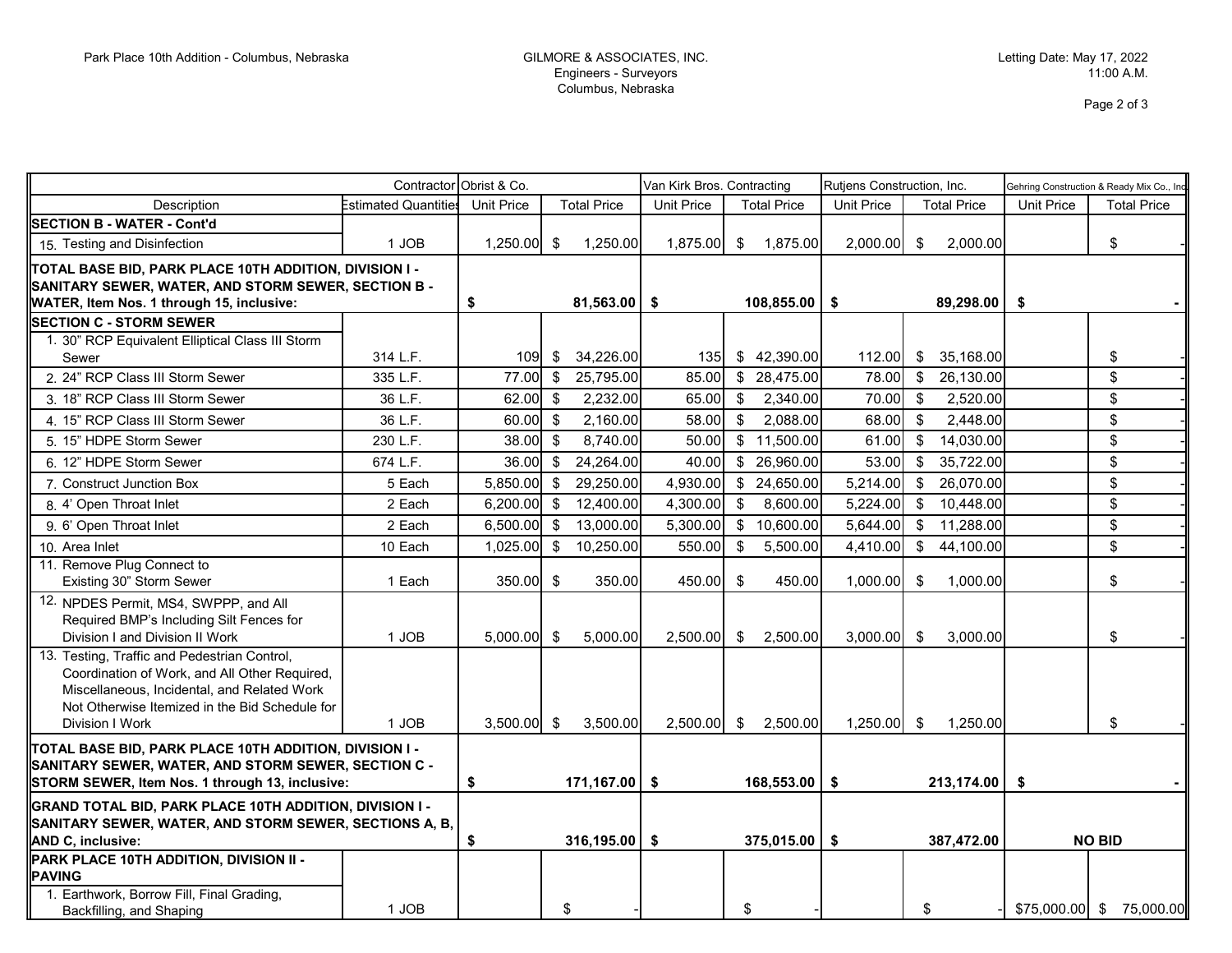## Engineers - Surveyors Columbus, Nebraska

Page 2 of 3

|                                                                                                                                                                                                                   |                      | Contractor Obrist & Co. |                           | Van Kirk Bros. Contracting |                           | Rutjens Construction, Inc. |                                        | Gehring Construction & Ready Mix Co., Ind |                           |  |
|-------------------------------------------------------------------------------------------------------------------------------------------------------------------------------------------------------------------|----------------------|-------------------------|---------------------------|----------------------------|---------------------------|----------------------------|----------------------------------------|-------------------------------------------|---------------------------|--|
| Description                                                                                                                                                                                                       | Estimated Quantities | <b>Unit Price</b>       | <b>Total Price</b>        | <b>Unit Price</b>          | <b>Total Price</b>        | <b>Unit Price</b>          | <b>Total Price</b>                     | <b>Unit Price</b>                         | <b>Total Price</b>        |  |
| <b>SECTION B - WATER - Cont'd</b>                                                                                                                                                                                 |                      |                         |                           |                            |                           |                            |                                        |                                           |                           |  |
| 15. Testing and Disinfection                                                                                                                                                                                      | 1 JOB                | $1,250.00$ \$           | 1,250.00                  | 1,875.00 \$                | 1,875.00                  | $2,000.00$ \$              | 2,000.00                               |                                           | \$                        |  |
| TOTAL BASE BID, PARK PLACE 10TH ADDITION, DIVISION I -<br>SANITARY SEWER, WATER, AND STORM SEWER, SECTION B -<br>WATER, Item Nos. 1 through 15, inclusive:                                                        |                      | \$                      | $81,563.00$ \$            |                            | $108,855.00$ \$           |                            | 89,298.00                              | -\$                                       |                           |  |
| <b>SECTION C - STORM SEWER</b>                                                                                                                                                                                    |                      |                         |                           |                            |                           |                            |                                        |                                           |                           |  |
| 1. 30" RCP Equivalent Elliptical Class III Storm                                                                                                                                                                  |                      |                         |                           |                            |                           |                            |                                        |                                           |                           |  |
| Sewer                                                                                                                                                                                                             | 314 L.F.             | 109                     | 34,226.00<br>\$           | 135 <b>I</b>               | \$42,390.00               | 112.00                     | \$<br>35,168.00                        |                                           | \$                        |  |
| 2. 24" RCP Class III Storm Sewer                                                                                                                                                                                  | 335 L.F.             | 77.00                   | 25,795.00<br>\$           | 85.00                      | \$28,475.00               | 78.00                      | \$<br>26,130.00                        |                                           | $\mathbb{S}$              |  |
| 3. 18" RCP Class III Storm Sewer                                                                                                                                                                                  | 36 L.F.              | 62.00                   | \$<br>2,232.00            | 65.00                      | $\mathbb{S}$<br>2,340.00  | 70.00                      | \$<br>2,520.00                         |                                           | \$                        |  |
| 4. 15" RCP Class III Storm Sewer                                                                                                                                                                                  | 36 L.F.              | 60.00                   | 2,160.00<br>- \$          | 58.00                      | $\mathfrak s$<br>2,088.00 | 68.00                      | \$<br>2,448.00                         |                                           | \$                        |  |
| 5. 15" HDPE Storm Sewer                                                                                                                                                                                           | 230 L.F.             | 38.00                   | 8,740.00<br>- \$          | 50.00                      | \$11,500.00               | 61.00                      | $\sqrt[6]{3}$<br>14,030.00             |                                           | \$                        |  |
| 6. 12" HDPE Storm Sewer                                                                                                                                                                                           | 674 L.F.             | 36.00                   | 24,264.00<br>\$           | 40.00                      | \$26,960.00               | 53.00                      | \$<br>35,722.00                        |                                           | \$                        |  |
| 7. Construct Junction Box                                                                                                                                                                                         | 5 Each               | 5,850.00                | 29,250.00<br>$\mathbb{S}$ | 4,930.00                   | \$24,650.00               | 5,214.00                   | 26,070.00<br>$\boldsymbol{\mathsf{S}}$ |                                           | \$                        |  |
| 8. 4' Open Throat Inlet                                                                                                                                                                                           | 2 Each               | 6,200.00                | $\mathbb{S}$<br>12,400.00 | 4,300.00                   | \$<br>8,600.00            | 5,224.00                   | \$<br>10,448.00                        |                                           | \$                        |  |
| 9. 6' Open Throat Inlet                                                                                                                                                                                           | 2 Each               | 6,500.00                | 13,000.00<br>\$           | 5,300.00                   | \$10,600.00               | 5,644.00                   | - \$<br>11,288.00                      |                                           | \$                        |  |
| 10. Area Inlet                                                                                                                                                                                                    | 10 Each              | 1,025.00                | 10,250.00<br>\$           | 550.00                     | \$<br>5,500.00            | 4,410.00                   | \$<br>44,100.00                        |                                           | \$                        |  |
| 11. Remove Plug Connect to<br>Existing 30" Storm Sewer                                                                                                                                                            | 1 Each               | $350.00$ \$             | 350.00                    | 450.00                     | \$<br>450.00              | 1,000.00                   | \$<br>1,000.00                         |                                           | \$                        |  |
| 12. NPDES Permit, MS4, SWPPP, and All<br>Required BMP's Including Silt Fences for<br>Division I and Division II Work                                                                                              | 1 JOB                | 5,000.00                | \$<br>5,000.00            | 2,500.00                   | 2,500.00<br>\$            | 3,000.00                   | \$<br>3,000.00                         |                                           | \$                        |  |
| 13. Testing, Traffic and Pedestrian Control,<br>Coordination of Work, and All Other Required,<br>Miscellaneous, Incidental, and Related Work<br>Not Otherwise Itemized in the Bid Schedule for<br>Division I Work | 1 JOB                | $3,500.00$ \$           | 3,500.00                  |                            | 2,500.00 \$ 2,500.00      | $1.250.00$ \ \$            | 1,250.00                               |                                           | \$                        |  |
| TOTAL BASE BID, PARK PLACE 10TH ADDITION, DIVISION I -<br>SANITARY SEWER, WATER, AND STORM SEWER, SECTION C -<br>STORM SEWER, Item Nos. 1 through 13, inclusive:                                                  |                      | \$<br>$171,167.00$ \$   |                           | 168,553.00                 |                           | \$<br>213,174.00           |                                        | \$                                        |                           |  |
| GRAND TOTAL BID, PARK PLACE 10TH ADDITION, DIVISION I -<br>SANITARY SEWER, WATER, AND STORM SEWER, SECTIONS A, B,<br>AND C, inclusive:                                                                            |                      | \$                      | $316, 195.00$ \$          |                            | 375,015.00                | - \$                       | 387,472.00                             |                                           | <b>NO BID</b>             |  |
| PARK PLACE 10TH ADDITION, DIVISION II -<br><b>PAVING</b><br>1. Earthwork, Borrow Fill, Final Grading,                                                                                                             |                      |                         |                           |                            |                           |                            |                                        |                                           |                           |  |
| Backfilling, and Shaping                                                                                                                                                                                          | 1 JOB                |                         | \$                        |                            | \$                        |                            | \$                                     |                                           | $$75,000.00$ \$ 75,000.00 |  |